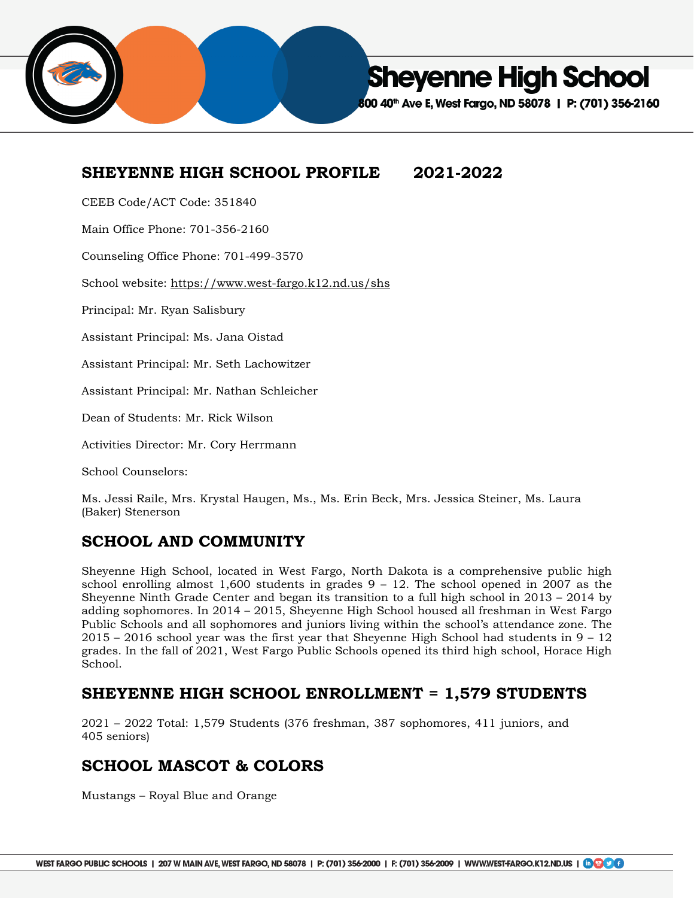

**Sheyenne High School** 

00 40<sup>th</sup> Ave E, West Fargo, ND 58078 | P: (701) 356-2160

## **SHEYENNE HIGH SCHOOL PROFILE 2021-2022**

CEEB Code/ACT Code: 351840

Main Office Phone: 701-356-2160

Counseling Office Phone: 701-499-3570

School website: <https://www.west-fargo.k12.nd.us/shs>

Principal: Mr. Ryan Salisbury

Assistant Principal: Ms. Jana Oistad

Assistant Principal: Mr. Seth Lachowitzer

Assistant Principal: Mr. Nathan Schleicher

Dean of Students: Mr. Rick Wilson

Activities Director: Mr. Cory Herrmann

School Counselors:

Ms. Jessi Raile, Mrs. Krystal Haugen, Ms., Ms. Erin Beck, Mrs. Jessica Steiner, Ms. Laura (Baker) Stenerson

## **SCHOOL AND COMMUNITY**

Sheyenne High School, located in West Fargo, North Dakota is a comprehensive public high school enrolling almost  $1,600$  students in grades  $9 - 12$ . The school opened in 2007 as the Sheyenne Ninth Grade Center and began its transition to a full high school in 2013 – 2014 by adding sophomores. In 2014 – 2015, Sheyenne High School housed all freshman in West Fargo Public Schools and all sophomores and juniors living within the school's attendance zone. The 2015 – 2016 school year was the first year that Sheyenne High School had students in 9 – 12 grades. In the fall of 2021, West Fargo Public Schools opened its third high school, Horace High School.

#### **SHEYENNE HIGH SCHOOL ENROLLMENT = 1,579 STUDENTS**

2021 – 2022 Total: 1,579 Students (376 freshman, 387 sophomores, 411 juniors, and 405 seniors)

## **SCHOOL MASCOT & COLORS**

Mustangs – Royal Blue and Orange